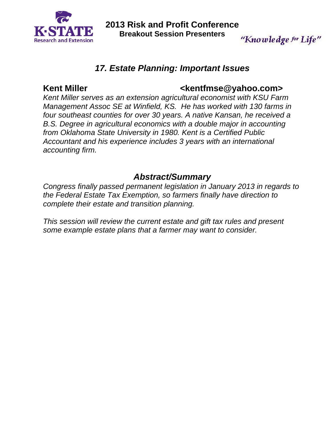

**2013 Risk and Profit Conference Breakout Session Presenters** 

# *17. Estate Planning: Important Issues*

## Kent Miller **Kentfmse@yahoo.com>**

"Knowledge for Life"

*Kent Miller serves as an extension agricultural economist with KSU Farm Management Assoc SE at Winfield, KS. He has worked with 130 farms in four southeast counties for over 30 years. A native Kansan, he received a B.S. Degree in agricultural economics with a double major in accounting from Oklahoma State University in 1980. Kent is a Certified Public Accountant and his experience includes 3 years with an international accounting firm.* 

# *Abstract/Summary*

*Congress finally passed permanent legislation in January 2013 in regards to the Federal Estate Tax Exemption, so farmers finally have direction to complete their estate and transition planning.* 

*This session will review the current estate and gift tax rules and present some example estate plans that a farmer may want to consider.*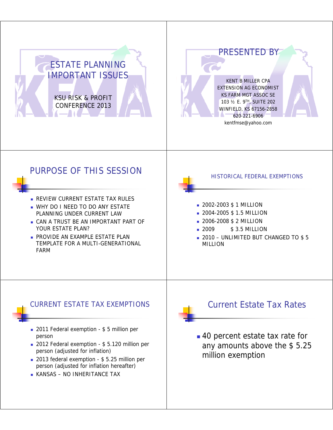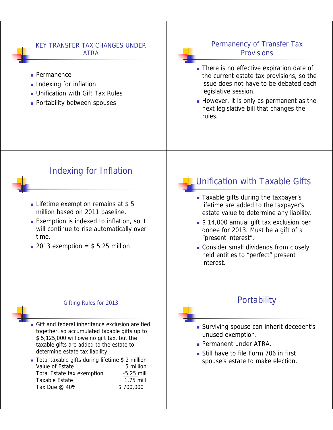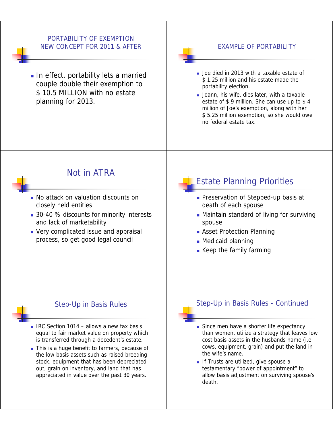## PORTABILITY OF EXEMPTION NEW CONCEPT FOR 2011 & AFTER

In effect, portability lets a married couple double their exemption to \$10.5 MILLION with no estate planning for 2013.

## EXAMPLE OF PORTABILITY

- 
- **Joe died in 2013 with a taxable estate of** \$1.25 million and his estate made the portability election.
- Joann, his wife, dies later, with a taxable estate of \$9 million. She can use up to \$4 million of Joe's exemption, along with her \$ 5.25 million exemption, so she would owe no federal estate tax.



# Not in ATRA

- **No attack on valuation discounts on** closely held entities
- 30-40 % discounts for minority interests and lack of marketability
- Very complicated issue and appraisal process, so get good legal council

# Estate Planning Priorities

- **Preservation of Stepped-up basis at** death of each spouse
- **Maintain standard of living for surviving** spouse
- **Asset Protection Planning**
- $\blacksquare$  Medicaid planning
- Keep the family farming

## Step-Up in Basis Rules

- $\blacksquare$  IRC Section 1014 allows a new tax basis equal to fair market value on property which is transferred through a decedent's estate.
- This is a huge benefit to farmers, because of the low basis assets such as raised breeding stock, equipment that has been depreciated out, grain on inventory, and land that has appreciated in value over the past 30 years.

## Step-Up in Basis Rules - Continued

- Since men have a shorter life expectancy than women, utilize a strategy that leaves low cost basis assets in the husbands name (i.e. cows, equipment, grain) and put the land in the wife's name.
- If Trusts are utilized, give spouse a testamentary "power of appointment" to allow basis adjustment on surviving spouse's death.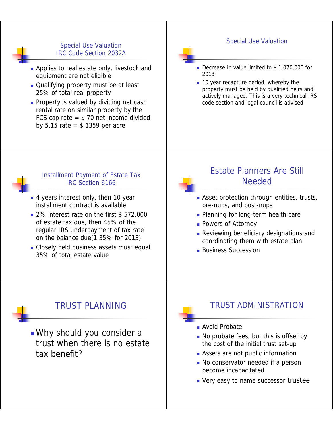## **Special Use Valuation** IRC Code Section 2032A

- **Applies to real estate only, livestock and** equipment are not eligible
- Qualifying property must be at least 25% of total real property 25% of total real
- **Property is valued by dividing net cash** rental rate on similar property by the FCS cap rate  $=$  \$ 70 net income divided by 5.15 rate  $=$  \$ 1359 per acre

## Special Use Valuation

- Decrease in value limited to \$1,070,000 for 2013
- **10** year recapture period, whereby the property must be held by qualified heirs and actively managed. This is a very technical IRS code section and legal council is advised

### Installment Payment of Estate Tax IRC Section 6166

- 4 years interest only, then 10 year installment contract is available
- 2% interest rate on the first \$ 572,000 of estate tax due, then  $45%$  of the regular IRS underpayment of tax rate on the balance due $(1.35\%$  for 2013)
- Closely held business assets must equal 35% of total estate value 35% of total estate

# Estate Planners Are Still Needed

- **Asset protection through entities, trusts,** pre-nups, and post-nups
- **Planning for long-term health care**
- **Powers of Attorney**
- **Reviewing beneficiary designations and** coordinating them with estate plan
- **Business Succession**

# TRUST PLANNING

**Nhy should you consider a** trust when there is no estate tax benefit?

# TRUST ADMINISTRATION

- Avoid Probate
- $\blacksquare$  No probate fees, but this is offset by the cost of the initial trust set-up
- Assets are not public information
- No conservator needed if a person become incapacitated
- Very easy to name successor trustee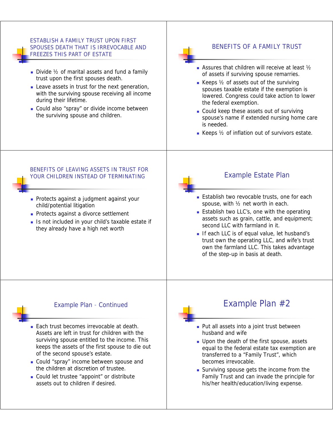### ESTABLISH A FAMILY TRUST UPON FIRST SPOUSES DEATH THAT IS IRREVOCABLE AND FREEZES THIS PART OF ESTATE

- Divide 1/2 of marital assets and fund a family trust upon the first spouses death.
- Leave assets in trust for the next generation, with the surviving spouse receiving all income during their lifetime.
- Could also "spray" or divide income between the surviving spouse and children.

## BENEFITS OF A FAMILY TRUST

- Assures that children will receive at least ½ of assets if surviving spouse remarries.
- Keeps  $\frac{1}{2}$  of assets out of the surviving spouses taxable estate if the exemption is lowered. Congress could take action to lower the federal exemption.
- Could keep these assets out of surviving spouse's name if extended nursing home care is needed.
- Keeps  $\frac{1}{2}$  of inflation out of survivors estate.

### BENEFITS OF LEAVING ASSETS IN TRUST FOR YOUR CHILDREN INSTEAD OF TERMINATING

- **Protects against a judgment against your** child/potential litigation
- Protects against a divorce settlement
- Is not included in your child's taxable estate if they already have a high net worth

## Example Estate Plan

- **Establish two revocable trusts, one for each** spouse, with ½ net worth in each.
- **Establish two LLC's, one with the operating** assets such as grain, cattle, and equipment; second LLC with farmland in it.
- If each LLC is of equal value, let husband's trust own the operating LLC, and wife's trust own the farmland LLC. This takes advantage of the step-up in basis at death.



### Example Plan - Continued

- **Each trust becomes irrevocable at death.** Assets are left in trust for children with the surviving spouse entitled to the income. This keeps the assets of the first spouse to die out of the second spouse's estate.
- Could "spray" income between spouse and the children at discretion of trustee.
- Could let trustee "appoint" or distribute assets out to children if desired.

# Example Plan  $#2$

- **Put all assets into a joint trust between** husband and wife
- **Upon the death of the first spouse, assets** equal to the federal estate tax exemption are transferred to a "Family Trust", which becomes irrevocable.
- Surviving spouse gets the income from the Family Trust and can invade the principle for his/her health/education/living expense.